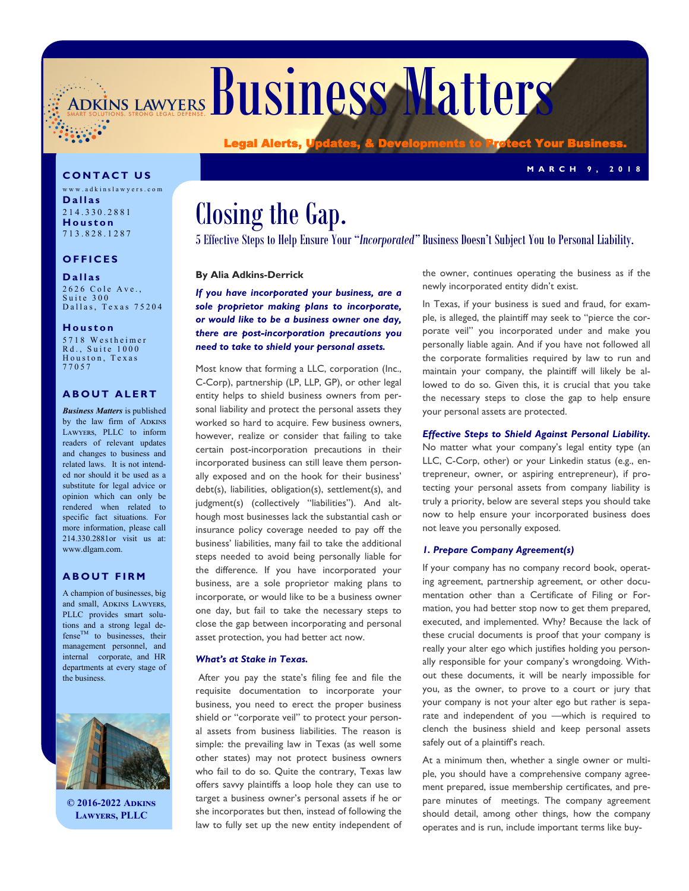ADKINS LAWYERS BUSINESS Matters

**C O N T A C T U S**

w w w . a d k i n s l a w y e r s . c o m **D a l l a s** 2 1 4 . 3 3 0 . 2 8 8 1 **H o u s t o n** 7 1 3 . 8 2 8 . 1 2 8 7

# **O F F I C E S**

**D a l l a s**

2626 Cole Ave., Suite 300 Dallas, Texas 75204

**H o u s t o n**

5 7 1 8 W e s t h e i m e r Rd., Suite 1000 Houston, Texas 7 7 0 5 7

#### **ABOUT ALERT**

*Business Matters* is published by the law firm of ADKINS Lawyers, PLLC to inform readers of relevant updates and changes to business and related laws. It is not intended nor should it be used as a substitute for legal advice or opinion which can only be rendered when related to specific fact situations. For more information, please call 214.330.2881or visit us at: www.dlgam.com.

#### **A B O U T F I R M**

A champion of businesses, big and small, ADKINS LAWYERS, PLLC provides smart solutions and a strong legal de $fense^{TM}$  to businesses, their management personnel, and internal corporate, and HR departments at every stage of the business.



**© 2016-2022 Adkins Lawyers, PLLC**

# Closing the Gap.

Legal Alerts, U

5 Effective Steps to Help Ensure Your "*Incorporated"* Business Doesn't Subject You to Personal Liability.

#### **By Alia Adkins-Derrick**

*If you have incorporated your business, are a sole proprietor making plans to incorporate, or would like to be a business owner one day, there are post-incorporation precautions you need to take to shield your personal assets.* 

Most know that forming a LLC, corporation (Inc., C-Corp), partnership (LP, LLP, GP), or other legal entity helps to shield business owners from personal liability and protect the personal assets they worked so hard to acquire. Few business owners, however, realize or consider that failing to take certain post-incorporation precautions in their incorporated business can still leave them personally exposed and on the hook for their business' debt(s), liabilities, obligation(s), settlement(s), and judgment(s) (collectively "liabilities"). And although most businesses lack the substantial cash or insurance policy coverage needed to pay off the business' liabilities, many fail to take the additional steps needed to avoid being personally liable for the difference. If you have incorporated your business, are a sole proprietor making plans to incorporate, or would like to be a business owner one day, but fail to take the necessary steps to close the gap between incorporating and personal asset protection, you had better act now.

#### *What's at Stake in Texas.*

After you pay the state's filing fee and file the requisite documentation to incorporate your business, you need to erect the proper business shield or "corporate veil" to protect your personal assets from business liabilities. The reason is simple: the prevailing law in Texas (as well some other states) may not protect business owners who fail to do so. Quite the contrary, Texas law offers savvy plaintiffs a loop hole they can use to target a business owner's personal assets if he or she incorporates but then, instead of following the law to fully set up the new entity independent of the owner, continues operating the business as if the newly incorporated entity didn't exist.

**M A R C H 9 , 2 0 1 8**

In Texas, if your business is sued and fraud, for example, is alleged, the plaintiff may seek to "pierce the corporate veil" you incorporated under and make you personally liable again. And if you have not followed all the corporate formalities required by law to run and maintain your company, the plaintiff will likely be allowed to do so. Given this, it is crucial that you take the necessary steps to close the gap to help ensure your personal assets are protected.

#### *Effective Steps to Shield Against Personal Liability.*

No matter what your company's legal entity type (an LLC, C-Corp, other) or your Linkedin status (e.g., entrepreneur, owner, or aspiring entrepreneur), if protecting your personal assets from company liability is truly a priority, below are several steps you should take now to help ensure your incorporated business does not leave you personally exposed.

#### *1. Prepare Company Agreement(s)*

If your company has no company record book, operating agreement, partnership agreement, or other documentation other than a Certificate of Filing or Formation, you had better stop now to get them prepared, executed, and implemented. Why? Because the lack of these crucial documents is proof that your company is really your alter ego which justifies holding you personally responsible for your company's wrongdoing. Without these documents, it will be nearly impossible for you, as the owner, to prove to a court or jury that your company is not your alter ego but rather is separate and independent of you —which is required to clench the business shield and keep personal assets safely out of a plaintiff's reach.

At a minimum then, whether a single owner or multiple, you should have a comprehensive company agreement prepared, issue membership certificates, and prepare minutes of meetings. The company agreement should detail, among other things, how the company operates and is run, include important terms like buy